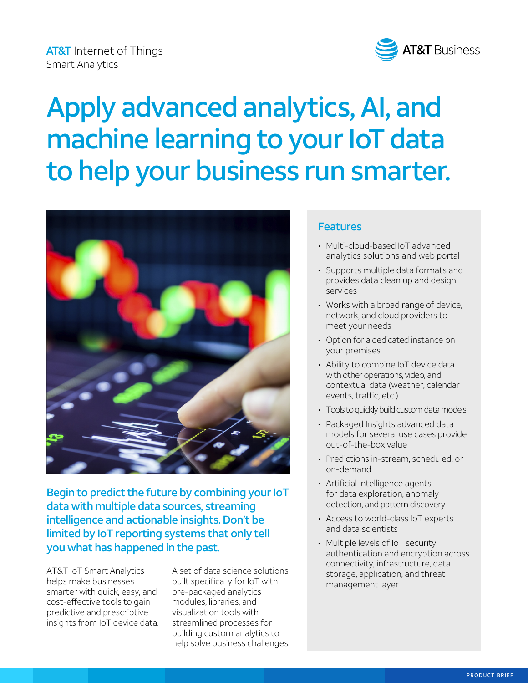**AT&T** Internet of Things Smart Analytics



# Apply advanced analytics, AI, and machine learning to your IoT data to help your business run smarter.



Begin to predict the future by combining your IoT data with multiple data sources, streaming intelligence and actionable insights. Don't be limited by IoT reporting systems that only tell you what has happened in the past.

AT&T IoT Smart Analytics helps make businesses smarter with quick, easy, and cost-effective tools to gain predictive and prescriptive insights from IoT device data. A set of data science solutions built specifically for IoT with pre-packaged analytics modules, libraries, and visualization tools with streamlined processes for building custom analytics to help solve business challenges.

### Features

- Multi-cloud-based IoT advanced analytics solutions and web portal
- Supports multiple data formats and provides data clean up and design services
- Works with a broad range of device, network, and cloud providers to meet your needs
- Option for a dedicated instance on your premises
- Ability to combine IoT device data with other operations, video, and contextual data (weather, calendar events, traffic, etc.)
- Tools to quickly build custom data models
- Packaged Insights advanced data models for several use cases provide out-of-the-box value
- Predictions in-stream, scheduled, or on-demand
- Artificial Intelligence agents for data exploration, anomaly detection, and pattern discovery
- Access to world-class IoT experts and data scientists
- Multiple levels of IoT security authentication and encryption across connectivity, infrastructure, data storage, application, and threat management layer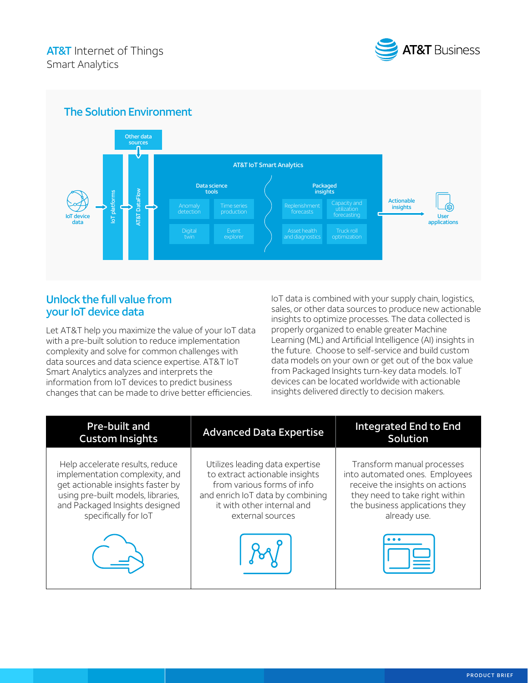

#### The Solution Environment Other data sources AT&T IoT Smart Analytics Data science tools Packaged AT&T DataFlow insights IoT platforms **AT&T** DataFlo platform Actionable Capacity and utilization forecasting insights Anomaly detection Time series production User IoT device  $\overline{5}$ data applications Digital twin Event explorer Asset health and diagnostics

## Unlock the full value from your IoT device data

Let AT&T help you maximize the value of your IoT data with a pre-built solution to reduce implementation complexity and solve for common challenges with data sources and data science expertise. AT&T IoT Smart Analytics analyzes and interprets the information from IoT devices to predict business changes that can be made to drive better efficiencies.

IoT data is combined with your supply chain, logistics, sales, or other data sources to produce new actionable insights to optimize processes. The data collected is properly organized to enable greater Machine Learning (ML) and Artificial Intelligence (AI) insights in the future. Choose to self-service and build custom data models on your own or get out of the box value from Packaged Insights turn-key data models. IoT devices can be located worldwide with actionable insights delivered directly to decision makers.

| Pre-built and<br><b>Custom Insights</b>                                                                                                                                                                | <b>Advanced Data Expertise</b>                                                                                                                                                        | <b>Integrated End to End</b><br>Solution                                                                                                                                            |
|--------------------------------------------------------------------------------------------------------------------------------------------------------------------------------------------------------|---------------------------------------------------------------------------------------------------------------------------------------------------------------------------------------|-------------------------------------------------------------------------------------------------------------------------------------------------------------------------------------|
| Help accelerate results, reduce<br>implementation complexity, and<br>get actionable insights faster by<br>using pre-built models, libraries,<br>and Packaged Insights designed<br>specifically for IoT | Utilizes leading data expertise<br>to extract actionable insights<br>from various forms of info<br>and enrich IoT data by combining<br>it with other internal and<br>external sources | Transform manual processes<br>into automated ones. Employees<br>receive the insights on actions<br>they need to take right within<br>the business applications they<br>already use. |
|                                                                                                                                                                                                        |                                                                                                                                                                                       |                                                                                                                                                                                     |